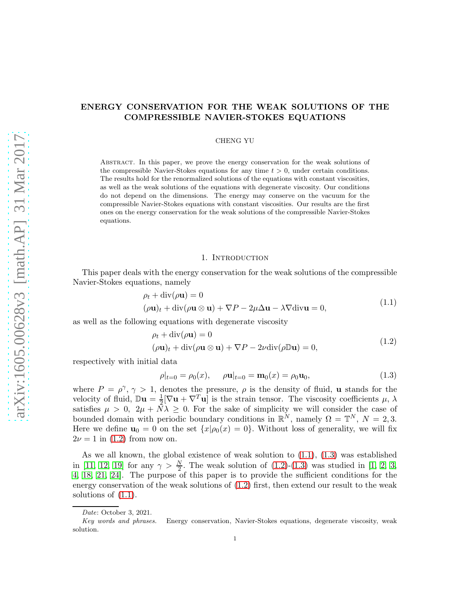# ENERGY CONSERVATION FOR THE WEAK SOLUTIONS OF THE COMPRESSIBLE NAVIER-STOKES EQUATIONS

CHENG YU

Abstract. In this paper, we prove the energy conservation for the weak solutions of the compressible Navier-Stokes equations for any time  $t > 0$ , under certain conditions. The results hold for the renormalized solutions of the equations with constant viscosities, as well as the weak solutions of the equations with degenerate viscosity. Our conditions do not depend on the dimensions. The energy may conserve on the vacuum for the compressible Navier-Stokes equations with constant viscosities. Our results are the first ones on the energy conservation for the weak solutions of the compressible Navier-Stokes equations.

# 1. INTRODUCTION

This paper deals with the energy conservation for the weak solutions of the compressible Navier-Stokes equations, namely

$$
\rho_t + \text{div}(\rho \mathbf{u}) = 0
$$
  

$$
(\rho \mathbf{u})_t + \text{div}(\rho \mathbf{u} \otimes \mathbf{u}) + \nabla P - 2\mu \Delta \mathbf{u} - \lambda \nabla \text{div} \mathbf{u} = 0,
$$
 (1.1)

<span id="page-0-1"></span><span id="page-0-0"></span>as well as the following equations with degenerate viscosity

$$
\rho_t + \operatorname{div}(\rho \mathbf{u}) = 0
$$
  

$$
(\rho \mathbf{u})_t + \operatorname{div}(\rho \mathbf{u} \otimes \mathbf{u}) + \nabla P - 2\nu \operatorname{div}(\rho \mathbb{D} \mathbf{u}) = 0,
$$
 (1.2)

respectively with initial data

<span id="page-0-2"></span>
$$
\rho|_{t=0} = \rho_0(x), \quad \rho \mathbf{u}|_{t=0} = \mathbf{m}_0(x) = \rho_0 \mathbf{u}_0, \tag{1.3}
$$

where  $P = \rho^{\gamma}, \gamma > 1$ , denotes the pressure,  $\rho$  is the density of fluid, **u** stands for the velocity of fluid,  $\mathbb{D}\mathbf{u} = \frac{1}{2}$  $\frac{1}{2}[\nabla \mathbf{u} + \nabla^T \mathbf{u}]$  is the strain tensor. The viscosity coefficients  $\mu$ ,  $\lambda$ satisfies  $\mu > 0$ ,  $2\mu + N\lambda \geq 0$ . For the sake of simplicity we will consider the case of bounded domain with periodic boundary conditions in  $\mathbb{R}^N$ , namely  $\Omega = \mathbb{T}^N$ ,  $N = 2, 3$ . Here we define  $\mathbf{u}_0 = 0$  on the set  $\{x | \rho_0(x) = 0\}$ . Without loss of generality, we will fix  $2\nu = 1$  in [\(1.2\)](#page-0-0) from now on.

As we all known, the global existence of weak solution to  $(1.1)$ ,  $(1.3)$  was established in [\[11,](#page-12-0) [12,](#page-12-1) [19\]](#page-12-2) for any  $\gamma > \frac{N}{2}$ . The weak solution of [\(1.2\)](#page-0-0)-[\(1.3\)](#page-0-2) was studied in [\[1,](#page-11-0) [2,](#page-11-1) [3,](#page-11-2) [4,](#page-12-3) [18,](#page-12-4) [21,](#page-12-5) [24\]](#page-12-6). The purpose of this paper is to provide the sufficient conditions for the energy conservation of the weak solutions of [\(1.2\)](#page-0-0) first, then extend our result to the weak solutions of [\(1.1\)](#page-0-1).

Date: October 3, 2021.

Key words and phrases. Energy conservation, Navier-Stokes equations, degenerate viscosity, weak solution.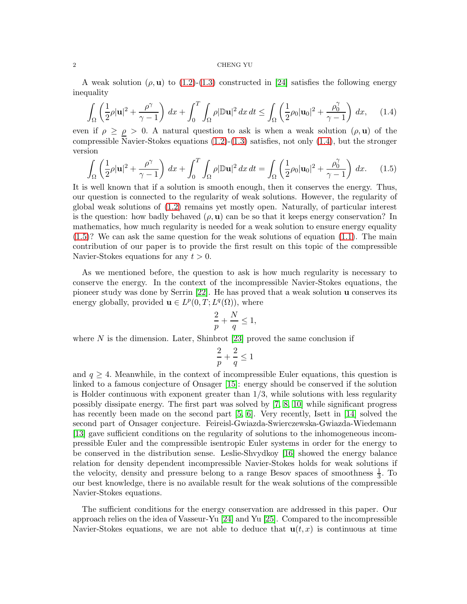A weak solution ( $\rho$ , **u**) to [\(1.2\)](#page-0-0)-[\(1.3\)](#page-0-2) constructed in [\[24\]](#page-12-6) satisfies the following energy inequality

<span id="page-1-0"></span>
$$
\int_{\Omega} \left(\frac{1}{2}\rho |\mathbf{u}|^2 + \frac{\rho^{\gamma}}{\gamma - 1}\right) dx + \int_0^T \int_{\Omega} \rho |\mathbb{D}\mathbf{u}|^2 dx dt \le \int_{\Omega} \left(\frac{1}{2}\rho_0 |\mathbf{u}_0|^2 + \frac{\rho_0^{\gamma}}{\gamma - 1}\right) dx, \quad (1.4)
$$

even if  $\rho \ge \rho > 0$ . A natural question to ask is when a weak solution  $(\rho, \mathbf{u})$  of the compressible Navier-Stokes equations [\(1.2\)](#page-0-0)-[\(1.3\)](#page-0-2) satisfies, not only [\(1.4\)](#page-1-0), but the stronger version

<span id="page-1-1"></span>
$$
\int_{\Omega} \left(\frac{1}{2}\rho |\mathbf{u}|^2 + \frac{\rho^{\gamma}}{\gamma - 1}\right) dx + \int_0^T \int_{\Omega} \rho |\mathbb{D}\mathbf{u}|^2 dx dt = \int_{\Omega} \left(\frac{1}{2}\rho_0 |\mathbf{u}_0|^2 + \frac{\rho_0^{\gamma}}{\gamma - 1}\right) dx. \tag{1.5}
$$

It is well known that if a solution is smooth enough, then it conserves the energy. Thus, our question is connected to the regularity of weak solutions. However, the regularity of global weak solutions of [\(1.2\)](#page-0-0) remains yet mostly open. Naturally, of particular interest is the question: how badly behaved  $(\rho, \mathbf{u})$  can be so that it keeps energy conservation? In mathematics, how much regularity is needed for a weak solution to ensure energy equality  $(1.5)$ ? We can ask the same question for the weak solutions of equation  $(1.1)$ . The main contribution of our paper is to provide the first result on this topic of the compressible Navier-Stokes equations for any  $t > 0$ .

As we mentioned before, the question to ask is how much regularity is necessary to conserve the energy. In the context of the incompressible Navier-Stokes equations, the pioneer study was done by Serrin [\[22\]](#page-12-7). He has proved that a weak solution u conserves its energy globally, provided  $\mathbf{u} \in L^p(0,T;L^q(\Omega))$ , where

$$
\frac{2}{p} + \frac{N}{q} \le 1,
$$

where  $N$  is the dimension. Later, Shinbrot [\[23\]](#page-12-8) proved the same conclusion if

$$
\frac{2}{p}+\frac{2}{q}\leq 1
$$

and  $q \geq 4$ . Meanwhile, in the context of incompressible Euler equations, this question is linked to a famous conjecture of Onsager [\[15\]](#page-12-9): energy should be conserved if the solution is Holder continuous with exponent greater than  $1/3$ , while solutions with less regularity possibly dissipate energy. The first part was solved by [\[7,](#page-12-10) [8,](#page-12-11) [10\]](#page-12-12) while significant progress has recently been made on the second part [\[5,](#page-12-13) [6\]](#page-12-14). Very recently, Isett in [\[14\]](#page-12-15) solved the second part of Onsager conjecture. Feireisl-Gwiazda-Swierczewska-Gwiazda-Wiedemann [\[13\]](#page-12-16) gave sufficient conditions on the regularity of solutions to the inhomogeneous incompressible Euler and the compressible isentropic Euler systems in order for the energy to be conserved in the distribution sense. Leslie-Shvydkoy [\[16\]](#page-12-17) showed the energy balance relation for density dependent incompressible Navier-Stokes holds for weak solutions if the velocity, density and pressure belong to a range Besov spaces of smoothness  $\frac{1}{3}$ . To our best knowledge, there is no available result for the weak solutions of the compressible Navier-Stokes equations.

The sufficient conditions for the energy conservation are addressed in this paper. Our approach relies on the idea of Vasseur-Yu [\[24\]](#page-12-6) and Yu [\[25\]](#page-12-18). Compared to the incompressible Navier-Stokes equations, we are not able to deduce that  $\mathbf{u}(t,x)$  is continuous at time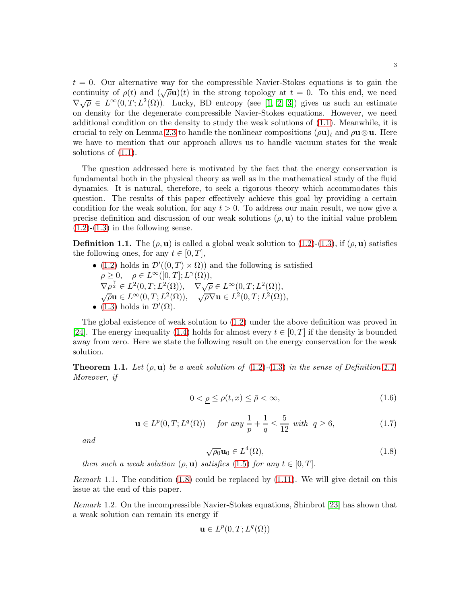$t = 0$ . Our alternative way for the compressible Navier-Stokes equations is to gain the continuity of  $\rho(t)$  and  $(\sqrt{\rho}u)(t)$  in the strong topology at  $t = 0$ . To this end, we need  $\nabla \sqrt{\rho} \in L^{\infty}(0,T;L^{2}(\Omega)).$  Lucky, BD entropy (see [\[1,](#page-11-0) [2,](#page-11-1) [3\]](#page-11-2)) gives us such an estimate on density for the degenerate compressible Navier-Stokes equations. However, we need additional condition on the density to study the weak solutions of [\(1.1\)](#page-0-1). Meanwhile, it is crucial to rely on Lemma [2.3](#page-4-0) to handle the nonlinear compositions  $(\rho \mathbf{u})_t$  and  $\rho \mathbf{u} \otimes \mathbf{u}$ . Here we have to mention that our approach allows us to handle vacuum states for the weak solutions of [\(1.1\)](#page-0-1).

The question addressed here is motivated by the fact that the energy conservation is fundamental both in the physical theory as well as in the mathematical study of the fluid dynamics. It is natural, therefore, to seek a rigorous theory which accommodates this question. The results of this paper effectively achieve this goal by providing a certain condition for the weak solution, for any  $t > 0$ . To address our main result, we now give a precise definition and discussion of our weak solutions  $(\rho, \mathbf{u})$  to the initial value problem  $(1.2)-(1.3)$  $(1.2)-(1.3)$  $(1.2)-(1.3)$  in the following sense.

<span id="page-2-0"></span>**Definition 1.1.** The  $(\rho, \mathbf{u})$  is called a global weak solution to [\(1.2\)](#page-0-0)-[\(1.3\)](#page-0-2), if  $(\rho, \mathbf{u})$  satisfies the following ones, for any  $t \in [0, T]$ ,

• [\(1.2\)](#page-0-0) holds in  $\mathcal{D}'((0,T)\times\Omega)$  and the following is satisfied  $\rho \geq 0, \quad \rho \in L^{\infty}([0,T]; L^{\gamma}(\Omega)),$  $\nabla \rho^{\frac{\gamma}{2}} \in L^2(0,T; L^2(\Omega)), \quad \nabla \sqrt{\rho} \in L^\infty(0,T; L^2(\Omega)),$  $\sqrt{\rho}$ **u** ∈  $L^{\infty}(0, T; L^{2}(\Omega)), \quad \sqrt{\rho} \nabla$ **u** ∈  $L^{2}(0, T; L^{2}(\Omega)),$ • [\(1.3\)](#page-0-2) holds in  $\mathcal{D}'(\Omega)$ .

The global existence of weak solution to [\(1.2\)](#page-0-0) under the above definition was proved in [\[24\]](#page-12-6). The energy inequality [\(1.4\)](#page-1-0) holds for almost every  $t \in [0, T]$  if the density is bounded away from zero. Here we state the following result on the energy conservation for the weak solution.

<span id="page-2-2"></span>**Theorem [1.1.](#page-2-0)** Let  $(\rho, \mathbf{u})$  be a weak solution of  $(1.2)-(1.3)$  $(1.2)-(1.3)$  $(1.2)-(1.3)$  in the sense of Definition 1.1. Moreover, if

<span id="page-2-3"></span>
$$
0 < \underline{\rho} \le \rho(t, x) \le \bar{\rho} < \infty,\tag{1.6}
$$

$$
\mathbf{u} \in L^{p}(0, T; L^{q}(\Omega)) \quad \text{for any } \frac{1}{p} + \frac{1}{q} \le \frac{5}{12} \text{ with } q \ge 6,
$$
 (1.7)

and

<span id="page-2-1"></span>
$$
\sqrt{\rho_0} \mathbf{u}_0 \in L^4(\Omega),\tag{1.8}
$$

then such a weak solution  $(\rho, \mathbf{u})$  satisfies [\(1.5\)](#page-1-1) for any  $t \in [0, T]$ .

*Remark* 1.1. The condition  $(1.8)$  could be replaced by  $(1.11)$ . We will give detail on this issue at the end of this paper.

Remark 1.2. On the incompressible Navier-Stokes equations, Shinbrot [\[23\]](#page-12-8) has shown that a weak solution can remain its energy if

$$
\mathbf{u}\in L^p(0,T;L^q(\Omega))
$$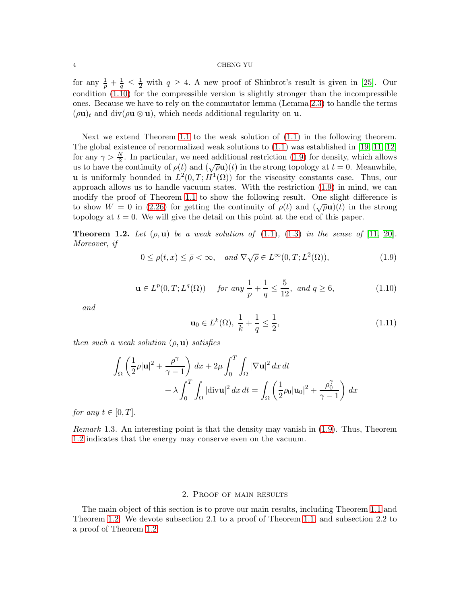for any  $\frac{1}{p} + \frac{1}{q} \leq \frac{1}{2}$  with  $q \geq 4$ . A new proof of Shinbrot's result is given in [\[25\]](#page-12-18). Our condition [\(1.10\)](#page-3-1) for the compressible version is slightly stronger than the incompressible ones. Because we have to rely on the commutator lemma (Lemma [2.3\)](#page-4-0) to handle the terms  $(\rho \mathbf{u})_t$  and div( $\rho \mathbf{u} \otimes \mathbf{u}$ ), which needs additional regularity on **u**.

Next we extend Theorem [1.1](#page-2-2) to the weak solution of [\(1.1\)](#page-0-1) in the following theorem. The global existence of renormalized weak solutions to [\(1.1\)](#page-0-1) was established in [\[19,](#page-12-2) [11,](#page-12-0) [12\]](#page-12-1) for any  $\gamma > \frac{N}{2}$ . In particular, we need additional restriction [\(1.9\)](#page-3-2) for density, which allows us to have the continuity of  $\rho(t)$  and  $(\sqrt{\rho}u)(t)$  in the strong topology at  $t=0$ . Meanwhile, **u** is uniformly bounded in  $L^2(0,T;H^1(\Omega))$  for the viscosity constants case. Thus, our approach allows us to handle vacuum states. With the restriction [\(1.9\)](#page-3-2) in mind, we can modify the proof of Theorem [1.1](#page-2-2) to show the following result. One slight difference is to show  $W = 0$  in [\(2.26\)](#page-9-0) for getting the continuity of  $\rho(t)$  and  $(\sqrt{\rho}u)(t)$  in the strong topology at  $t = 0$ . We will give the detail on this point at the end of this paper.

<span id="page-3-3"></span>**Theorem 1.2.** Let  $(\rho, \mathbf{u})$  be a weak solution of  $(1.1)$ ,  $(1.3)$  in the sense of  $[11, 20]$  $[11, 20]$ . Moreover, if

<span id="page-3-2"></span>
$$
0 \le \rho(t, x) \le \bar{\rho} < \infty, \quad \text{and } \nabla \sqrt{\rho} \in L^{\infty}(0, T; L^{2}(\Omega)), \tag{1.9}
$$

<span id="page-3-1"></span>
$$
\mathbf{u} \in L^p(0, T; L^q(\Omega)) \quad \text{for any } \frac{1}{p} + \frac{1}{q} \le \frac{5}{12}, \text{ and } q \ge 6,
$$
 (1.10)

and

<span id="page-3-0"></span>
$$
\mathbf{u}_0 \in L^k(\Omega), \ \frac{1}{k} + \frac{1}{q} \le \frac{1}{2},\tag{1.11}
$$

then such a weak solution  $(\rho, \mathbf{u})$  satisfies

$$
\int_{\Omega} \left( \frac{1}{2} \rho |\mathbf{u}|^2 + \frac{\rho^{\gamma}}{\gamma - 1} \right) dx + 2\mu \int_0^T \int_{\Omega} |\nabla \mathbf{u}|^2 dx dt
$$

$$
+ \lambda \int_0^T \int_{\Omega} |\text{div}\mathbf{u}|^2 dx dt = \int_{\Omega} \left( \frac{1}{2} \rho_0 |\mathbf{u}_0|^2 + \frac{\rho_0^{\gamma}}{\gamma - 1} \right) dx
$$

for any  $t \in [0, T]$ .

Remark 1.3. An interesting point is that the density may vanish in [\(1.9\)](#page-3-2). Thus, Theorem [1.2](#page-3-3) indicates that the energy may conserve even on the vacuum.

# 2. Proof of main results

The main object of this section is to prove our main results, including Theorem [1.1](#page-2-2) and Theorem [1.2.](#page-3-3) We devote subsection 2.1 to a proof of Theorem [1.1,](#page-2-2) and subsection 2.2 to a proof of Theorem [1.2.](#page-3-3)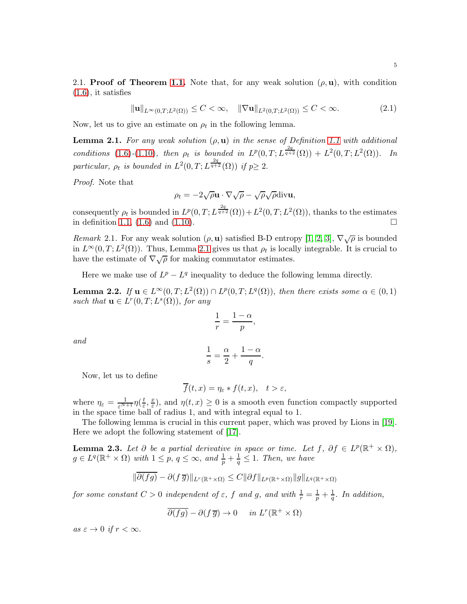2.1. Proof of Theorem [1.1.](#page-2-2) Note that, for any weak solution  $(\rho, \mathbf{u})$ , with condition  $(1.6)$ , it satisfies

<span id="page-4-2"></span> $\|\mathbf{u}\|_{L^{\infty}(0,T;L^{2}(\Omega))} \leq C < \infty, \quad \|\nabla \mathbf{u}\|_{L^{2}(0,T;L^{2}(\Omega))} \leq C < \infty.$  (2.1)

Now, let us to give an estimate on  $\rho_t$  in the following lemma.

<span id="page-4-1"></span>**Lemma 2.1.** For any weak solution  $(\rho, \mathbf{u})$  in the sense of Definition [1.1](#page-2-0) with additional conditions [\(1.6\)](#page-2-3)-[\(1.10\)](#page-3-1), then  $\rho_t$  is bounded in  $L^p(0,T;L^{\frac{2q}{q+2}}(\Omega)) + L^2(0,T;L^2(\Omega))$ . In particular,  $\rho_t$  is bounded in  $L^2(0,T;L^{\frac{2q}{q+2}}(\Omega))$  if  $p\geq 2$ .

Proof. Note that

$$
\rho_t = -2\sqrt{\rho} \mathbf{u} \cdot \nabla \sqrt{\rho} - \sqrt{\rho} \sqrt{\rho} \text{div} \mathbf{u},
$$

consequently  $\rho_t$  is bounded in  $L^p(0,T;L^{\frac{2q}{q+2}}(\Omega))+L^2(0,T;L^2(\Omega))$ , thanks to the estimates in definition [1.1,](#page-2-0)  $(1.6)$  and  $(1.10)$ .

Remark 2.1. For any weak solution  $(\rho, \mathbf{u})$  satisfied B-D entropy [\[1,](#page-11-0) [2,](#page-11-1) [3\]](#page-11-2),  $\nabla \sqrt{\rho}$  is bounded in  $L^{\infty}(0,T; L^{2}(\Omega))$ . Thus, Lemma [2.1](#page-4-1) gives us that  $\rho_t$  is locally integrable. It is crucial to have the estimate of  $\nabla \sqrt{\rho}$  for making commutator estimates.

Here we make use of  $L^p - L^q$  inequality to deduce the following lemma directly.

<span id="page-4-3"></span>**Lemma 2.2.** If  $u \in L^{\infty}(0,T; L^{2}(\Omega)) \cap L^{p}(0,T; L^{q}(\Omega))$ , then there exists some  $\alpha \in (0,1)$ such that  $\mathbf{u} \in L^r(0,T;L^s(\Omega))$ , for any

$$
\frac{1}{r} = \frac{1-\alpha}{p},
$$

and

$$
\frac{1}{s} = \frac{\alpha}{2} + \frac{1-\alpha}{q}.
$$

Now, let us to define

$$
\overline{f}(t,x) = \eta_{\varepsilon} * f(t,x), \quad t > \varepsilon,
$$

where  $\eta_{\varepsilon} = \frac{1}{\varepsilon^{N+1}} \eta(\frac{t}{\varepsilon})$  $\frac{t}{\varepsilon}, \frac{x}{\varepsilon}$  $(\frac{x}{\varepsilon})$ , and  $\eta(t, x) \geq 0$  is a smooth even function compactly supported in the space time ball of radius 1, and with integral equal to 1.

The following lemma is crucial in this current paper, which was proved by Lions in [\[19\]](#page-12-2). Here we adopt the following statement of [\[17\]](#page-12-20).

<span id="page-4-0"></span>**Lemma 2.3.** Let  $\partial$  be a partial derivative in space or time. Let  $f$ ,  $\partial f \in L^p(\mathbb{R}^+ \times \Omega)$ ,  $g \in L^q(\mathbb{R}^+ \times \Omega)$  with  $1 \leq p, q \leq \infty$ , and  $\frac{1}{p} + \frac{1}{q} \leq 1$ . Then, we have

$$
\|\overline{\partial(fg)} - \partial(f\,\overline{g})\|_{L^r(\mathbb{R}^+\times\Omega)} \leq C\|\partial f\|_{L^p(\mathbb{R}^+\times\Omega)}\|g\|_{L^q(\mathbb{R}^+\times\Omega)}
$$

for some constant  $C > 0$  independent of  $\varepsilon$ , f and g, and with  $\frac{1}{r} = \frac{1}{p} + \frac{1}{q}$ . In addition,

$$
\overline{\partial(fg)} - \partial(f\,\overline{g}) \to 0 \quad in \, L^r(\mathbb{R}^+ \times \Omega)
$$

as  $\varepsilon \to 0$  if  $r < \infty$ .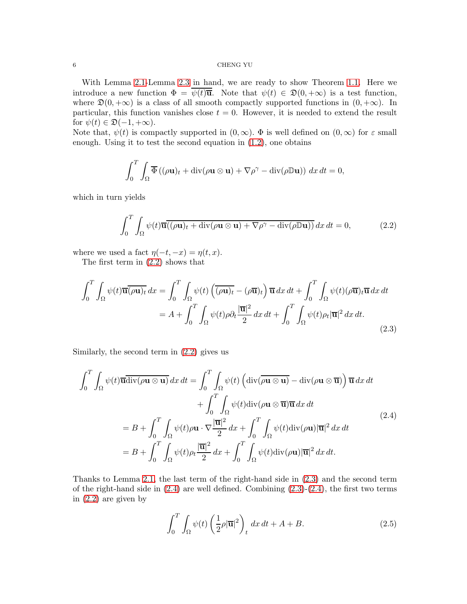With Lemma [2.1-](#page-4-1)Lemma [2.3](#page-4-0) in hand, we are ready to show Theorem [1.1.](#page-2-2) Here we introduce a new function  $\Phi = \psi(t)\overline{\mathbf{u}}$ . Note that  $\psi(t) \in \mathfrak{D}(0, +\infty)$  is a test function, where  $\mathfrak{D}(0, +\infty)$  is a class of all smooth compactly supported functions in  $(0, +\infty)$ . In particular, this function vanishes close  $t = 0$ . However, it is needed to extend the result for  $\psi(t) \in \mathfrak{D}(-1, +\infty)$ .

Note that,  $\psi(t)$  is compactly supported in  $(0,\infty)$ .  $\Phi$  is well defined on  $(0,\infty)$  for  $\varepsilon$  small enough. Using it to test the second equation in [\(1.2\)](#page-0-0), one obtains

$$
\int_0^T \int_{\Omega} \overline{\Phi} \left( (\rho \mathbf{u})_t + \mathrm{div}(\rho \mathbf{u} \otimes \mathbf{u}) + \nabla \rho^{\gamma} - \mathrm{div}(\rho \mathbb{D} \mathbf{u}) \right) dx dt = 0,
$$

which in turn yields

<span id="page-5-0"></span>
$$
\int_0^T \int_{\Omega} \psi(t) \overline{\mathbf{u}}(\rho \mathbf{u})_t + \text{div}(\rho \mathbf{u} \otimes \mathbf{u}) + \nabla \rho^\gamma - \text{div}(\rho \mathbb{D} \mathbf{u})) dx dt = 0,
$$
 (2.2)

where we used a fact  $\eta(-t, -x) = \eta(t, x)$ .

The first term in [\(2.2\)](#page-5-0) shows that

<span id="page-5-1"></span>
$$
\int_0^T \int_{\Omega} \psi(t) \overline{\mathbf{u}} \overline{(\rho \mathbf{u})_t} dx = \int_0^T \int_{\Omega} \psi(t) \left( \overline{(\rho \mathbf{u})_t} - (\rho \overline{\mathbf{u}})_t \right) \overline{\mathbf{u}} dx dt + \int_0^T \int_{\Omega} \psi(t) (\rho \overline{\mathbf{u}})_t \overline{\mathbf{u}} dx dt \n= A + \int_0^T \int_{\Omega} \psi(t) \rho \partial_t \frac{|\overline{\mathbf{u}}|^2}{2} dx dt + \int_0^T \int_{\Omega} \psi(t) \rho_t |\overline{\mathbf{u}}|^2 dx dt.
$$
\n(2.3)

Similarly, the second term in [\(2.2\)](#page-5-0) gives us

<span id="page-5-2"></span>
$$
\int_{0}^{T} \int_{\Omega} \psi(t) \overline{\mathbf{u}} \overline{\mathrm{div}(\rho \mathbf{u} \otimes \mathbf{u})} dx dt = \int_{0}^{T} \int_{\Omega} \psi(t) \left( \mathrm{div}(\overline{\rho \mathbf{u} \otimes \mathbf{u})} - \mathrm{div}(\rho \mathbf{u} \otimes \overline{\mathbf{u}}) \right) \overline{\mathbf{u}} dx dt + \int_{0}^{T} \int_{\Omega} \psi(t) \mathrm{div}(\rho \mathbf{u} \otimes \overline{\mathbf{u}}) \overline{\mathbf{u}} dx dt = B + \int_{0}^{T} \int_{\Omega} \psi(t) \rho \mathbf{u} \cdot \nabla \frac{|\overline{\mathbf{u}}|^{2}}{2} dx + \int_{0}^{T} \int_{\Omega} \psi(t) \mathrm{div}(\rho \mathbf{u}) |\overline{\mathbf{u}}|^{2} dx dt = B + \int_{0}^{T} \int_{\Omega} \psi(t) \rho_{t} \frac{|\overline{\mathbf{u}}|^{2}}{2} dx + \int_{0}^{T} \int_{\Omega} \psi(t) \mathrm{div}(\rho \mathbf{u}) |\overline{\mathbf{u}}|^{2} dx dt.
$$
 (2.4)

Thanks to Lemma [2.1,](#page-4-1) the last term of the right-hand side in [\(2.3\)](#page-5-1) and the second term of the right-hand side in  $(2.4)$  are well defined. Combining  $(2.3)-(2.4)$ , the first two terms in [\(2.2\)](#page-5-0) are given by

<span id="page-5-3"></span>
$$
\int_0^T \int_{\Omega} \psi(t) \left(\frac{1}{2}\rho |\overline{\mathbf{u}}|^2\right)_t dx dt + A + B. \tag{2.5}
$$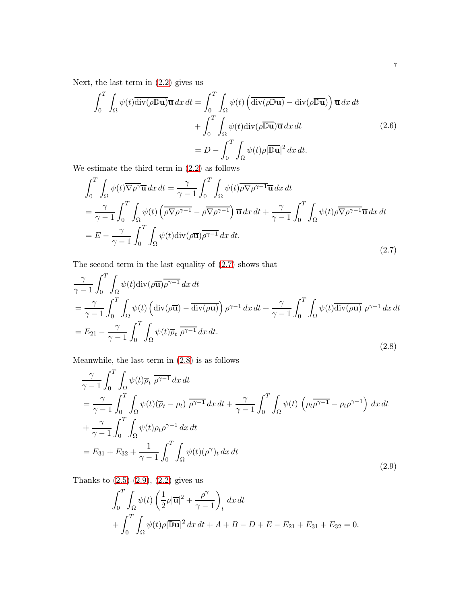Next, the last term in  $(2.2)$  gives us

$$
\int_0^T \int_{\Omega} \psi(t) \overline{\text{div}(\rho \mathbb{D} \mathbf{u})} \overline{\mathbf{u}} \, dx \, dt = \int_0^T \int_{\Omega} \psi(t) \left( \overline{\text{div}(\rho \mathbb{D} \mathbf{u})} - \text{div}(\rho \overline{\mathbb{D} \mathbf{u}}) \right) \overline{\mathbf{u}} \, dx \, dt
$$

$$
+ \int_0^T \int_{\Omega} \psi(t) \text{div}(\rho \overline{\mathbb{D} \mathbf{u}}) \overline{\mathbf{u}} \, dx \, dt
$$

$$
= D - \int_0^T \int_{\Omega} \psi(t) \rho |\overline{\mathbb{D} \mathbf{u}}|^2 \, dx \, dt. \tag{2.6}
$$

We estimate the third term in [\(2.2\)](#page-5-0) as follows

<span id="page-6-0"></span>
$$
\int_{0}^{T} \int_{\Omega} \psi(t) \overline{\nabla \rho^{\gamma}} \overline{\mathbf{u}} \, dx \, dt = \frac{\gamma}{\gamma - 1} \int_{0}^{T} \int_{\Omega} \psi(t) \overline{\rho \nabla \rho^{\gamma - 1}} \overline{\mathbf{u}} \, dx \, dt
$$
\n
$$
= \frac{\gamma}{\gamma - 1} \int_{0}^{T} \int_{\Omega} \psi(t) \left( \overline{\rho \nabla \rho^{\gamma - 1}} - \rho \overline{\nabla \rho^{\gamma - 1}} \right) \overline{\mathbf{u}} \, dx \, dt + \frac{\gamma}{\gamma - 1} \int_{0}^{T} \int_{\Omega} \psi(t) \rho \overline{\nabla \rho^{\gamma - 1}} \overline{\mathbf{u}} \, dx \, dt
$$
\n
$$
= E - \frac{\gamma}{\gamma - 1} \int_{0}^{T} \int_{\Omega} \psi(t) \text{div}(\rho \overline{\mathbf{u}}) \overline{\rho^{\gamma - 1}} \, dx \, dt. \tag{2.7}
$$

The second term in the last equality of [\(2.7\)](#page-6-0) shows that

<span id="page-6-1"></span>
$$
\frac{\gamma}{\gamma - 1} \int_0^T \int_{\Omega} \psi(t) \operatorname{div}(\rho \overline{\mathbf{u}}) \overline{\rho^{\gamma - 1}} \, dx \, dt
$$
\n
$$
= \frac{\gamma}{\gamma - 1} \int_0^T \int_{\Omega} \psi(t) \left( \operatorname{div}(\rho \overline{\mathbf{u}}) - \overline{\operatorname{div}(\rho \mathbf{u})} \right) \overline{\rho^{\gamma - 1}} \, dx \, dt + \frac{\gamma}{\gamma - 1} \int_0^T \int_{\Omega} \psi(t) \overline{\operatorname{div}(\rho \mathbf{u})} \overline{\rho^{\gamma - 1}} \, dx \, dt
$$
\n
$$
= E_{21} - \frac{\gamma}{\gamma - 1} \int_0^T \int_{\Omega} \psi(t) \overline{\rho_t} \overline{\rho^{\gamma - 1}} \, dx \, dt.
$$
\n(2.8)

Meanwhile, the last term in [\(2.8\)](#page-6-1) is as follows

<span id="page-6-2"></span>
$$
\frac{\gamma}{\gamma - 1} \int_0^T \int_{\Omega} \psi(t) \overline{\rho}_t \, \overline{\rho^{\gamma - 1}} \, dx \, dt
$$
\n
$$
= \frac{\gamma}{\gamma - 1} \int_0^T \int_{\Omega} \psi(t) (\overline{\rho}_t - \rho_t) \, \overline{\rho^{\gamma - 1}} \, dx \, dt + \frac{\gamma}{\gamma - 1} \int_0^T \int_{\Omega} \psi(t) \, \left( \rho_t \overline{\rho^{\gamma - 1}} - \rho_t \rho^{\gamma - 1} \right) \, dx \, dt
$$
\n
$$
+ \frac{\gamma}{\gamma - 1} \int_0^T \int_{\Omega} \psi(t) \rho_t \rho^{\gamma - 1} \, dx \, dt
$$
\n
$$
= E_{31} + E_{32} + \frac{1}{\gamma - 1} \int_0^T \int_{\Omega} \psi(t) (\rho^{\gamma})_t \, dx \, dt \tag{2.9}
$$

Thanks to  $(2.5)-(2.9)$  $(2.5)-(2.9)$ ,  $(2.2)$  gives us

$$
\int_0^T \int_{\Omega} \psi(t) \left( \frac{1}{2} \rho |\overline{\mathbf{u}}|^2 + \frac{\rho^{\gamma}}{\gamma - 1} \right)_t dx dt
$$
  
+ 
$$
\int_0^T \int_{\Omega} \psi(t) \rho |\overline{\mathbb{D} \mathbf{u}}|^2 dx dt + A + B - D + E - E_{21} + E_{31} + E_{32} = 0.
$$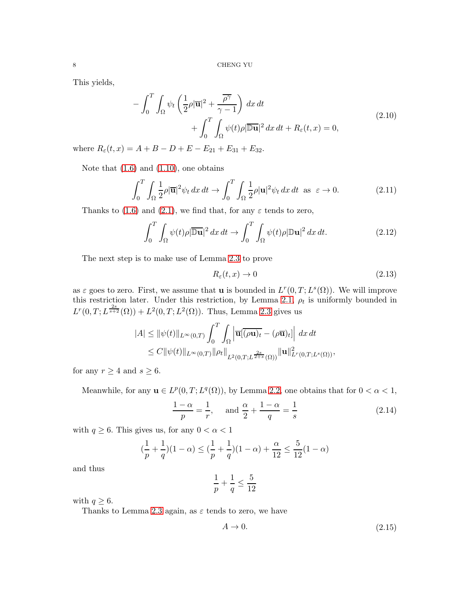<span id="page-7-0"></span>This yields,

$$
-\int_0^T \int_{\Omega} \psi_t \left( \frac{1}{2} \rho |\overline{\mathbf{u}}|^2 + \frac{\overline{\rho^{\gamma}}}{\gamma - 1} \right) dx dt
$$
  
+ 
$$
\int_0^T \int_{\Omega} \psi(t) \rho |\overline{\mathbb{D} \mathbf{u}}|^2 dx dt + R_{\varepsilon}(t, x) = 0,
$$
 (2.10)

where  $R_{\varepsilon}(t, x) = A + B - D + E - E_{21} + E_{31} + E_{32}$ .

Note that  $(1.6)$  and  $(1.10)$ , one obtains

<span id="page-7-1"></span>
$$
\int_0^T \int_{\Omega} \frac{1}{2} \rho |\overline{\mathbf{u}}|^2 \psi_t \, dx \, dt \to \int_0^T \int_{\Omega} \frac{1}{2} \rho |\mathbf{u}|^2 \psi_t \, dx \, dt \text{ as } \varepsilon \to 0. \tag{2.11}
$$

Thanks to [\(1.6\)](#page-2-3) and [\(2.1\)](#page-4-2), we find that, for any  $\varepsilon$  tends to zero,

$$
\int_0^T \int_{\Omega} \psi(t) \rho |\overline{\mathbb{D} \mathbf{u}}|^2 dx dt \to \int_0^T \int_{\Omega} \psi(t) \rho |\mathbb{D} \mathbf{u}|^2 dx dt.
$$
 (2.12)

The next step is to make use of Lemma [2.3](#page-4-0) to prove

<span id="page-7-2"></span>
$$
R_{\varepsilon}(t,x) \to 0 \tag{2.13}
$$

as  $\varepsilon$  goes to zero. First, we assume that **u** is bounded in  $L^r(0,T;L^s(\Omega))$ . We will improve this restriction later. Under this restriction, by Lemma [2.1,](#page-4-1)  $\rho_t$  is uniformly bounded in  $L^{r}(0,T;L^{\frac{2s}{s+2}}(\Omega))+L^{2}(0,T;L^{2}(\Omega)).$  Thus, Lemma [2.3](#page-4-0) gives us

$$
|A| \leq \|\psi(t)\|_{L^{\infty}(0,T)} \int_0^T \int_{\Omega} \left|\overline{\mathbf{u}}[\overline{(\rho \mathbf{u})_t} - (\rho \overline{\mathbf{u}})_t]\right| dx dt
$$
  
 
$$
\leq C \|\psi(t)\|_{L^{\infty}(0,T)} \|\rho_t\|_{L^2(0,T;L^{\frac{2s}{2+s}}(\Omega))} \|\mathbf{u}\|_{L^r(0,T;L^s(\Omega))}^2,
$$

for any  $r \geq 4$  and  $s \geq 6$ .

Meanwhile, for any  $\mathbf{u} \in L^p(0,T; L^q(\Omega))$ , by Lemma [2.2,](#page-4-3) one obtains that for  $0 < \alpha < 1$ ,

$$
\frac{1-\alpha}{p} = \frac{1}{r}, \text{ and } \frac{\alpha}{2} + \frac{1-\alpha}{q} = \frac{1}{s}
$$
 (2.14)

with  $q \geq 6$ . This gives us, for any  $0 < \alpha < 1$ 

$$
(\frac{1}{p} + \frac{1}{q})(1 - \alpha) \le (\frac{1}{p} + \frac{1}{q})(1 - \alpha) + \frac{\alpha}{12} \le \frac{5}{12}(1 - \alpha)
$$

and thus

$$
\frac{1}{p} + \frac{1}{q} \le \frac{5}{12}
$$

with  $q \geq 6$ .

Thanks to Lemma [2.3](#page-4-0) again, as  $\varepsilon$  tends to zero, we have

$$
A \to 0. \tag{2.15}
$$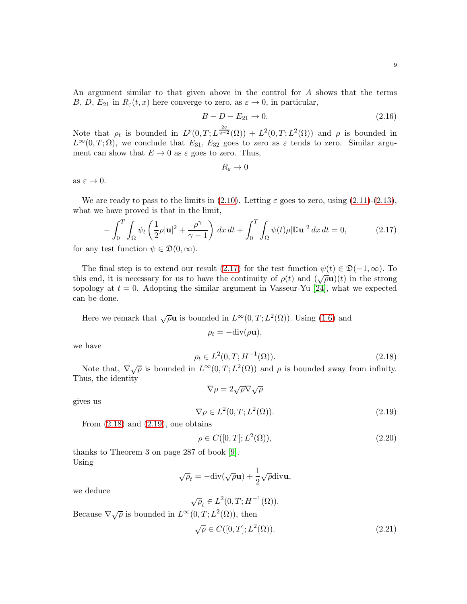An argument similar to that given above in the control for A shows that the terms B, D,  $E_{21}$  in  $R_{\varepsilon}(t, x)$  here converge to zero, as  $\varepsilon \to 0$ , in particular,

$$
B - D - E_{21} \to 0. \tag{2.16}
$$

Note that  $\rho_t$  is bounded in  $L^p(0,T;L^{\frac{2q}{q+2}}(\Omega))+L^2(0,T;L^2(\Omega))$  and  $\rho$  is bounded in  $L^{\infty}(0,T;\Omega)$ , we conclude that  $E_{31}$ ,  $E_{32}$  goes to zero as  $\varepsilon$  tends to zero. Similar argument can show that  $E \to 0$  as  $\varepsilon$  goes to zero. Thus,

$$
R_{\varepsilon}\to 0
$$

as  $\varepsilon \to 0$ .

We are ready to pass to the limits in  $(2.10)$ . Letting  $\varepsilon$  goes to zero, using  $(2.11)-(2.13)$  $(2.11)-(2.13)$ , what we have proved is that in the limit,

<span id="page-8-0"></span>
$$
-\int_0^T \int_{\Omega} \psi_t \left(\frac{1}{2}\rho |\mathbf{u}|^2 + \frac{\rho^\gamma}{\gamma - 1}\right) dx dt + \int_0^T \int_{\Omega} \psi(t)\rho |\mathbb{D}\mathbf{u}|^2 dx dt = 0, \tag{2.17}
$$

for any test function  $\psi \in \mathfrak{D}(0,\infty)$ .

The final step is to extend our result [\(2.17\)](#page-8-0) for the test function  $\psi(t) \in \mathfrak{D}(-1,\infty)$ . To this end, it is necessary for us to have the continuity of  $\rho(t)$  and  $(\sqrt{\rho}u)(t)$  in the strong topology at  $t = 0$ . Adopting the similar argument in Vasseur-Yu [\[24\]](#page-12-6), what we expected can be done.

Here we remark that  $\sqrt{\rho}u$  is bounded in  $L^{\infty}(0,T;L^2(\Omega))$ . Using [\(1.6\)](#page-2-3) and

$$
\rho_t = -\mathrm{div}(\rho \mathbf{u}),
$$

we have

<span id="page-8-1"></span>
$$
\rho_t \in L^2(0, T; H^{-1}(\Omega)).
$$
\n(2.18)

Note that,  $\nabla \sqrt{\rho}$  is bounded in  $L^{\infty}(0,T; L^2(\Omega))$  and  $\rho$  is bounded away from infinity. Thus, the identity

$$
\nabla\rho=2\sqrt{\rho}\nabla\sqrt{\rho}
$$

gives us

<span id="page-8-2"></span>
$$
\nabla \rho \in L^2(0, T; L^2(\Omega)).
$$
\n(2.19)

From  $(2.18)$  and  $(2.19)$ , one obtains

<span id="page-8-4"></span>
$$
\rho \in C([0, T]; L^2(\Omega)),
$$
\n(2.20)

thanks to Theorem 3 on page 287 of book [\[9\]](#page-12-21). Using

<span id="page-8-3"></span>
$$
\sqrt{\rho}_t = -\text{div}(\sqrt{\rho}\mathbf{u}) + \frac{1}{2}\sqrt{\rho}\text{div}\mathbf{u},
$$

we deduce

$$
\sqrt{\rho}_t \in L^2(0, T; H^{-1}(\Omega)).
$$
  
Because  $\nabla \sqrt{\rho}$  is bounded in  $L^{\infty}(0, T; L^2(\Omega))$ , then  

$$
\sqrt{\rho} \in C([0, T]; L^2(\Omega)).
$$
 (2.21)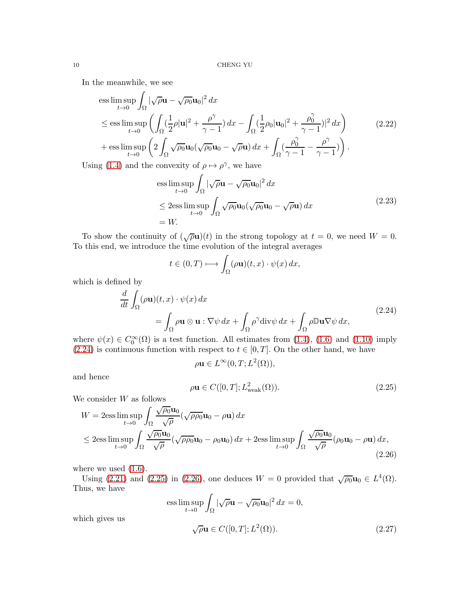In the meanwhile, we see

$$
\begin{split}\n\text{ess}\limsup_{t \to 0} \int_{\Omega} |\sqrt{\rho} \mathbf{u} - \sqrt{\rho_0} \mathbf{u}_0|^2 \, dx \\
&\leq \text{ess}\limsup_{t \to 0} \left( \int_{\Omega} (\frac{1}{2}\rho |\mathbf{u}|^2 + \frac{\rho^{\gamma}}{\gamma - 1}) \, dx - \int_{\Omega} (\frac{1}{2}\rho_0 |\mathbf{u}_0|^2 + \frac{\rho_0^{\gamma}}{\gamma - 1})|^2 \, dx \right) \\
&\quad + \text{ess}\limsup_{t \to 0} \left( 2 \int_{\Omega} \sqrt{\rho_0} \mathbf{u}_0 (\sqrt{\rho_0} \mathbf{u}_0 - \sqrt{\rho} \mathbf{u}) \, dx + \int_{\Omega} (\frac{\rho_0^{\gamma}}{\gamma - 1} - \frac{\rho^{\gamma}}{\gamma - 1}) \right).\n\end{split} \tag{2.22}
$$

Using [\(1.4\)](#page-1-0) and the convexity of  $\rho \mapsto \rho^{\gamma}$ , we have

$$
\begin{aligned}\n\text{ess}\limsup_{t \to 0} \int_{\Omega} |\sqrt{\rho} \mathbf{u} - \sqrt{\rho_0} \mathbf{u}_0|^2 \, dx \\
&\leq 2 \text{ess}\limsup_{t \to 0} \int_{\Omega} \sqrt{\rho_0} \mathbf{u}_0 (\sqrt{\rho_0} \mathbf{u}_0 - \sqrt{\rho} \mathbf{u}) \, dx \\
&= W.\n\end{aligned} \tag{2.23}
$$

To show the continuity of  $(\sqrt{\rho}u)(t)$  in the strong topology at  $t = 0$ , we need  $W = 0$ . To this end, we introduce the time evolution of the integral averages

$$
t \in (0, T) \longmapsto \int_{\Omega} (\rho \mathbf{u})(t, x) \cdot \psi(x) \, dx,
$$

which is defined by

$$
\frac{d}{dt} \int_{\Omega} (\rho \mathbf{u})(t, x) \cdot \psi(x) dx
$$
\n
$$
= \int_{\Omega} \rho \mathbf{u} \otimes \mathbf{u} : \nabla \psi dx + \int_{\Omega} \rho^{\gamma} \text{div} \psi dx + \int_{\Omega} \rho \mathbb{D} \mathbf{u} \nabla \psi dx,
$$
\n(2.24)

<span id="page-9-1"></span>where  $\psi(x) \in C_0^{\infty}(\Omega)$  is a test function. All estimates from [\(1.4\)](#page-1-0), [\(1.6\)](#page-2-3) and [\(1.10\)](#page-3-1) imply [\(2.24\)](#page-9-1) is continuous function with respect to  $t \in [0, T]$ . On the other hand, we have

$$
\rho \mathbf{u} \in L^{\infty}(0,T;L^{2}(\Omega)),
$$

and hence

<span id="page-9-2"></span>
$$
\rho \mathbf{u} \in C([0, T]; L^2_{\text{weak}}(\Omega)).\tag{2.25}
$$

We consider  $W$  as follows

<span id="page-9-0"></span>
$$
W = 2\text{ess}\limsup_{t\to 0} \int_{\Omega} \frac{\sqrt{\rho_0} \mathbf{u}_0}{\sqrt{\rho}} (\sqrt{\rho \rho_0} \mathbf{u}_0 - \rho \mathbf{u}) dx
$$
  

$$
\leq 2\text{ess}\limsup_{t\to 0} \int_{\Omega} \frac{\sqrt{\rho_0} \mathbf{u}_0}{\sqrt{\rho}} (\sqrt{\rho \rho_0} \mathbf{u}_0 - \rho_0 \mathbf{u}_0) dx + 2\text{ess}\limsup_{t\to 0} \int_{\Omega} \frac{\sqrt{\rho_0} \mathbf{u}_0}{\sqrt{\rho}} (\rho_0 \mathbf{u}_0 - \rho \mathbf{u}) dx,
$$
\n(2.26)

where we used  $(1.6)$ .

which gives us

Using [\(2.21\)](#page-8-3) and [\(2.25\)](#page-9-2) in [\(2.26\)](#page-9-0), one deduces  $W = 0$  provided that  $\sqrt{\rho_0} \mathbf{u}_0 \in L^4(\Omega)$ . Thus, we have

<span id="page-9-3"></span>ess 
$$
\limsup_{t \to 0} \int_{\Omega} |\sqrt{\rho} \mathbf{u} - \sqrt{\rho_0} \mathbf{u}_0|^2 dx = 0,
$$
  
 $\sqrt{\rho} \mathbf{u} \in C([0, T]; L^2(\Omega)).$  (2.27)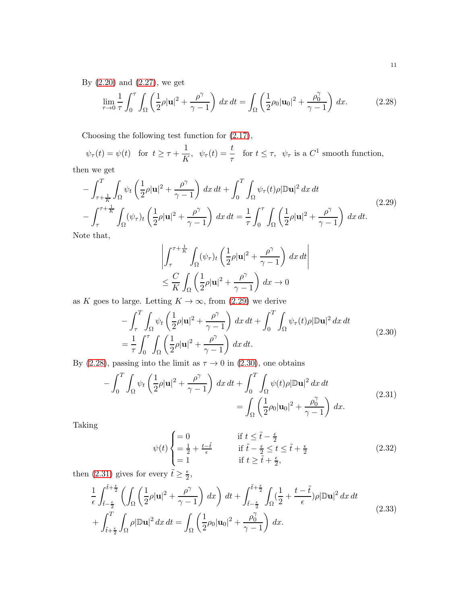By [\(2.20\)](#page-8-4) and [\(2.27\)](#page-9-3), we get

<span id="page-10-1"></span>
$$
\lim_{\tau \to 0} \frac{1}{\tau} \int_0^{\tau} \int_{\Omega} \left( \frac{1}{2} \rho |\mathbf{u}|^2 + \frac{\rho^{\gamma}}{\gamma - 1} \right) dx dt = \int_{\Omega} \left( \frac{1}{2} \rho_0 |\mathbf{u}_0|^2 + \frac{\rho_0^{\gamma}}{\gamma - 1} \right) dx.
$$
 (2.28)

Choosing the following test function for [\(2.17\)](#page-8-0),

$$
\psi_{\tau}(t) = \psi(t)
$$
 for  $t \ge \tau + \frac{1}{K}$ ,  $\psi_{\tau}(t) = \frac{t}{\tau}$  for  $t \le \tau$ ,  $\psi_{\tau}$  is a  $C^1$  smooth function,

then we get

<span id="page-10-0"></span>
$$
-\int_{\tau+\frac{1}{K}}^{T} \int_{\Omega} \psi_t \left(\frac{1}{2}\rho |\mathbf{u}|^2 + \frac{\rho^{\gamma}}{\gamma - 1}\right) dx dt + \int_0^T \int_{\Omega} \psi_\tau(t)\rho |\mathbb{D}\mathbf{u}|^2 dx dt
$$
  

$$
-\int_{\tau}^{\tau+\frac{1}{K}} \int_{\Omega} (\psi_\tau)_t \left(\frac{1}{2}\rho |\mathbf{u}|^2 + \frac{\rho^{\gamma}}{\gamma - 1}\right) dx dt = \frac{1}{\tau} \int_0^{\tau} \int_{\Omega} \left(\frac{1}{2}\rho |\mathbf{u}|^2 + \frac{\rho^{\gamma}}{\gamma - 1}\right) dx dt.
$$
 (2.29)

Note that,

$$
\left| \int_{\tau}^{\tau + \frac{1}{K}} \int_{\Omega} (\psi_{\tau})_t \left( \frac{1}{2} \rho |\mathbf{u}|^2 + \frac{\rho^{\gamma}}{\gamma - 1} \right) dx dt \right|
$$
  

$$
\leq \frac{C}{K} \int_{\Omega} \left( \frac{1}{2} \rho |\mathbf{u}|^2 + \frac{\rho^{\gamma}}{\gamma - 1} \right) dx \to 0
$$

as K goes to large. Letting  $K \to \infty$ , from [\(2.29\)](#page-10-0) we derive

$$
-\int_{\tau}^{T} \int_{\Omega} \psi_t \left(\frac{1}{2}\rho |\mathbf{u}|^2 + \frac{\rho^{\gamma}}{\gamma - 1}\right) dx dt + \int_{0}^{T} \int_{\Omega} \psi_\tau(t) \rho |\mathbb{D}\mathbf{u}|^2 dx dt
$$
  
= 
$$
\frac{1}{\tau} \int_{0}^{\tau} \int_{\Omega} \left(\frac{1}{2}\rho |\mathbf{u}|^2 + \frac{\rho^{\gamma}}{\gamma - 1}\right) dx dt.
$$
 (2.30)

<span id="page-10-2"></span>By [\(2.28\)](#page-10-1), passing into the limit as  $\tau \to 0$  in [\(2.30\)](#page-10-2), one obtains

$$
-\int_0^T \int_{\Omega} \psi_t \left(\frac{1}{2}\rho |\mathbf{u}|^2 + \frac{\rho^\gamma}{\gamma - 1}\right) dx dt + \int_0^T \int_{\Omega} \psi(t)\rho |\mathbb{D}\mathbf{u}|^2 dx dt
$$
  
= 
$$
\int_{\Omega} \left(\frac{1}{2}\rho_0 |\mathbf{u}_0|^2 + \frac{\rho_0^\gamma}{\gamma - 1}\right) dx.
$$
 (2.31)

<span id="page-10-3"></span>Taking

$$
\psi(t) \begin{cases}\n= 0 & \text{if } t \leq \tilde{t} - \frac{\epsilon}{2} \\
= \frac{1}{2} + \frac{t - \tilde{t}}{\epsilon} & \text{if } \tilde{t} - \frac{\epsilon}{2} \leq t \leq \tilde{t} + \frac{\epsilon}{2} \\
= 1 & \text{if } t \geq \tilde{t} + \frac{\epsilon}{2},\n\end{cases}
$$
\n(2.32)

then [\(2.31\)](#page-10-3) gives for every  $\tilde{t} \ge \frac{\epsilon}{2}$  $\frac{\epsilon}{2}$ 

<span id="page-10-4"></span>
$$
\frac{1}{\epsilon} \int_{\tilde{t}-\frac{\epsilon}{2}}^{\tilde{t}+\frac{\epsilon}{2}} \left( \int_{\Omega} \left( \frac{1}{2} \rho |\mathbf{u}|^2 + \frac{\rho^{\gamma}}{\gamma - 1} \right) dx \right) dt + \int_{\tilde{t}-\frac{\epsilon}{2}}^{\tilde{t}+\frac{\epsilon}{2}} \int_{\Omega} \left( \frac{1}{2} + \frac{t - \tilde{t}}{\epsilon} \right) \rho |\mathbb{D}\mathbf{u}|^2 dx dt + \int_{\tilde{t}+\frac{\epsilon}{2}}^T \int_{\Omega} \rho |\mathbb{D}\mathbf{u}|^2 dx dt = \int_{\Omega} \left( \frac{1}{2} \rho_0 |\mathbf{u}_0|^2 + \frac{\rho_0^{\gamma}}{\gamma - 1} \right) dx.
$$
\n(2.33)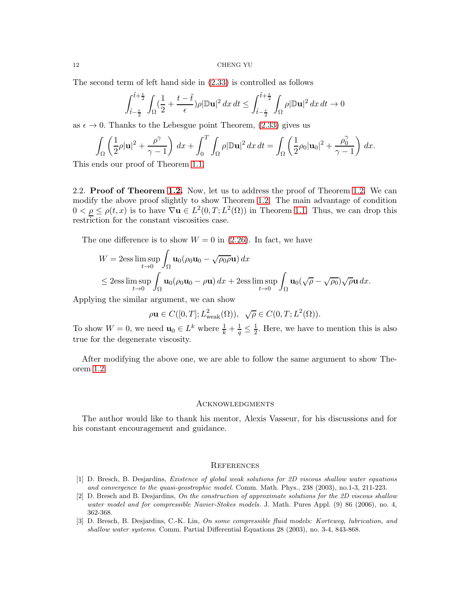The second term of left hand side in [\(2.33\)](#page-10-4) is controlled as follows

$$
\int_{\tilde t-\frac{\epsilon}{2}}^{\tilde t+\frac{\epsilon}{2}}\int_{\Omega}(\frac12+\frac{t-\tilde t}{\epsilon})\rho|\mathbb D {\bf u}|^2\,dx\,dt\leq \int_{\tilde t-\frac{\epsilon}{2}}^{\tilde t+\frac{\epsilon}{2}}\int_{\Omega}\rho|\mathbb D {\bf u}|^2\,dx\,dt\to 0
$$

as  $\epsilon \to 0$ . Thanks to the Lebesgue point Theorem, [\(2.33\)](#page-10-4) gives us

$$
\int_{\Omega} \left( \frac{1}{2} \rho |\mathbf{u}|^2 + \frac{\rho^{\gamma}}{\gamma - 1} \right) dx + \int_0^T \int_{\Omega} \rho |\mathbb{D}\mathbf{u}|^2 dx dt = \int_{\Omega} \left( \frac{1}{2} \rho_0 |\mathbf{u}_0|^2 + \frac{\rho_0^{\gamma}}{\gamma - 1} \right) dx.
$$

This ends our proof of Theorem [1.1.](#page-2-2)

2.2. Proof of Theorem [1.2.](#page-3-3) Now, let us to address the proof of Theorem [1.2.](#page-3-3) We can modify the above proof slightly to show Theorem [1.2.](#page-3-3) The main advantage of condition  $0 < \underline{\rho} \le \rho(t, x)$  is to have  $\nabla u \in L^2(0, T; L^2(\Omega))$  in Theorem [1.1.](#page-2-2) Thus, we can drop this restriction for the constant viscosities case.

The one difference is to show  $W = 0$  in [\(2.26\)](#page-9-0). In fact, we have

$$
W = 2\mathrm{ess}\limsup_{t\to 0} \int_{\Omega} \mathbf{u}_0(\rho_0 \mathbf{u}_0 - \sqrt{\rho_0 \rho} \mathbf{u}) dx
$$
  
\$\leq 2\mathrm{ess}\limsup\_{t\to 0} \int\_{\Omega} \mathbf{u}\_0(\rho\_0 \mathbf{u}\_0 - \rho \mathbf{u}) dx + 2\mathrm{ess}\limsup\_{t\to 0} \int\_{\Omega} \mathbf{u}\_0(\sqrt{\rho} - \sqrt{\rho\_0})\sqrt{\rho} \mathbf{u} dx.\$

Applying the similar argument, we can show

$$
\rho \mathbf{u}\in C([0,T];L^2_{\rm weak}(\Omega)),\ \sqrt{\rho}\in C(0,T;L^2(\Omega)).
$$

To show  $W = 0$ , we need  $\mathbf{u}_0 \in L^k$  where  $\frac{1}{k} + \frac{1}{q} \leq \frac{1}{2}$ . Here, we have to mention this is also true for the degenerate viscosity.

After modifying the above one, we are able to follow the same argument to show Theorem [1.2.](#page-3-3)

### Acknowledgments

The author would like to thank his mentor, Alexis Vasseur, for his discussions and for his constant encouragement and guidance.

# **REFERENCES**

- <span id="page-11-0"></span>[1] D. Bresch, B. Desjardins, Existence of global weak solutions for 2D viscous shallow water equations and convergence to the quasi-geostrophic model. Comm. Math. Phys., 238 (2003), no.1-3, 211-223.
- <span id="page-11-1"></span>[2] D. Bresch and B. Desjardins, On the construction of approximate solutions for the 2D viscous shallow water model and for compressible Navier-Stokes models. J. Math. Pures Appl. (9) 86 (2006), no. 4, 362-368.
- <span id="page-11-2"></span>[3] D. Bresch, B. Desjardins, C.-K. Lin, On some compressible fluid models: Korteweg, lubrication, and shallow water systems. Comm. Partial Differential Equations 28 (2003), no. 3-4, 843-868.